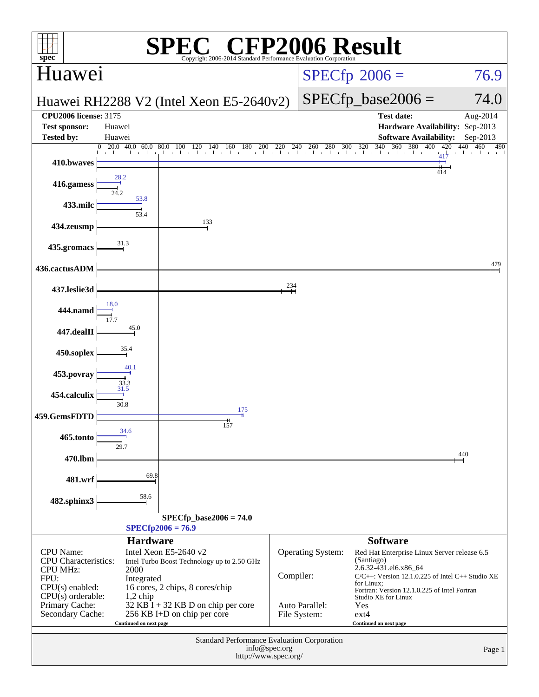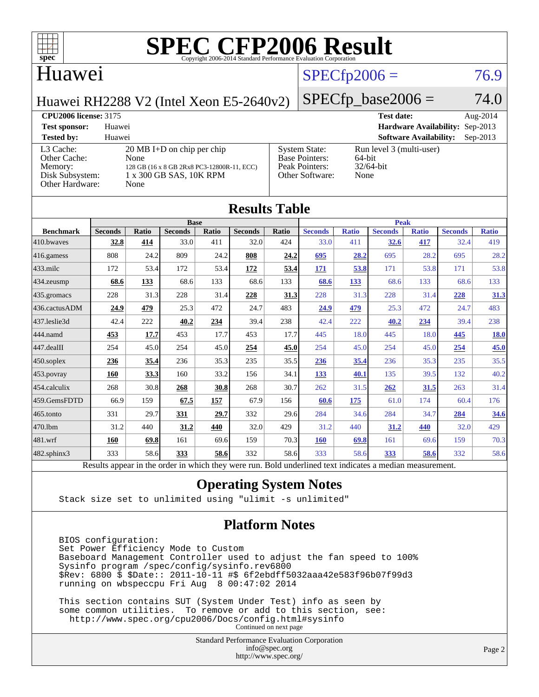

#### Huawei

## $SPECTp2006 = 76.9$

Huawei RH2288 V2 (Intel Xeon E5-2640v2)

### $SPECfp\_base2006 = 74.0$

#### **[CPU2006 license:](http://www.spec.org/auto/cpu2006/Docs/result-fields.html#CPU2006license)** 3175 **[Test date:](http://www.spec.org/auto/cpu2006/Docs/result-fields.html#Testdate)** Aug-2014 **[Test sponsor:](http://www.spec.org/auto/cpu2006/Docs/result-fields.html#Testsponsor)** Huawei **[Hardware Availability:](http://www.spec.org/auto/cpu2006/Docs/result-fields.html#HardwareAvailability)** Sep-2013 **[Tested by:](http://www.spec.org/auto/cpu2006/Docs/result-fields.html#Testedby)** Huawei **[Software Availability:](http://www.spec.org/auto/cpu2006/Docs/result-fields.html#SoftwareAvailability)** Sep-2013 [L3 Cache:](http://www.spec.org/auto/cpu2006/Docs/result-fields.html#L3Cache) 20 MB I+D on chip per chip<br>Other Cache: None [Other Cache:](http://www.spec.org/auto/cpu2006/Docs/result-fields.html#OtherCache) [Memory:](http://www.spec.org/auto/cpu2006/Docs/result-fields.html#Memory) 128 GB (16 x 8 GB 2Rx8 PC3-12800R-11, ECC) [Disk Subsystem:](http://www.spec.org/auto/cpu2006/Docs/result-fields.html#DiskSubsystem) 1 x 300 GB SAS, 10K RPM [Other Hardware:](http://www.spec.org/auto/cpu2006/Docs/result-fields.html#OtherHardware) None [System State:](http://www.spec.org/auto/cpu2006/Docs/result-fields.html#SystemState) Run level 3 (multi-user)<br>Base Pointers: 64-bit [Base Pointers:](http://www.spec.org/auto/cpu2006/Docs/result-fields.html#BasePointers) 64-bit<br>Peak Pointers: 32/64-bit [Peak Pointers:](http://www.spec.org/auto/cpu2006/Docs/result-fields.html#PeakPointers) [Other Software:](http://www.spec.org/auto/cpu2006/Docs/result-fields.html#OtherSoftware) None

| <b>Results Table</b> |                                                                                                          |              |                |       |                |       |                |              |                |              |                |              |
|----------------------|----------------------------------------------------------------------------------------------------------|--------------|----------------|-------|----------------|-------|----------------|--------------|----------------|--------------|----------------|--------------|
|                      |                                                                                                          |              | <b>Base</b>    |       |                |       |                |              | <b>Peak</b>    |              |                |              |
| <b>Benchmark</b>     | <b>Seconds</b>                                                                                           | <b>Ratio</b> | <b>Seconds</b> | Ratio | <b>Seconds</b> | Ratio | <b>Seconds</b> | <b>Ratio</b> | <b>Seconds</b> | <b>Ratio</b> | <b>Seconds</b> | <b>Ratio</b> |
| 410.bwayes           | 32.8                                                                                                     | 414          | 33.0           | 411   | 32.0           | 424   | 33.0           | 411          | 32.6           | 417          | 32.4           | 419          |
| 416.gamess           | 808                                                                                                      | 24.2         | 809            | 24.2  | 808            | 24.2  | 695            | 28.2         | 695            | 28.2         | 695            | 28.2         |
| $433$ .milc          | 172                                                                                                      | 53.4         | 172            | 53.4  | 172            | 53.4  | 171            | 53.8         | 171            | 53.8         | 171            | 53.8         |
| 434.zeusmp           | 68.6                                                                                                     | 133          | 68.6           | 133   | 68.6           | 133   | 68.6           | 133          | 68.6           | 133          | 68.6           | 133          |
| 435.gromacs          | 228                                                                                                      | 31.3         | 228            | 31.4  | 228            | 31.3  | 228            | 31.3         | 228            | 31.4         | 228            | 31.3         |
| 436.cactusADM        | 24.9                                                                                                     | 479          | 25.3           | 472   | 24.7           | 483   | 24.9           | 479          | 25.3           | 472          | 24.7           | 483          |
| 437.leslie3d         | 42.4                                                                                                     | 222          | 40.2           | 234   | 39.4           | 238   | 42.4           | 222          | 40.2           | 234          | 39.4           | 238          |
| 444.namd             | 453                                                                                                      | 17.7         | 453            | 17.7  | 453            | 17.7  | 445            | 18.0         | 445            | 18.0         | 445            | <b>18.0</b>  |
| 447.dealII           | 254                                                                                                      | 45.0         | 254            | 45.0  | 254            | 45.0  | 254            | 45.0         | 254            | 45.0         | 254            | 45.0         |
| 450.soplex           | 236                                                                                                      | 35.4         | 236            | 35.3  | 235            | 35.5  | 236            | 35.4         | 236            | 35.3         | 235            | 35.5         |
| 453.povray           | 160                                                                                                      | 33.3         | 160            | 33.2  | 156            | 34.1  | 133            | 40.1         | 135            | 39.5         | 132            | 40.2         |
| 454.calculix         | 268                                                                                                      | 30.8         | 268            | 30.8  | 268            | 30.7  | 262            | 31.5         | 262            | 31.5         | 263            | 31.4         |
| 459.GemsFDTD         | 66.9                                                                                                     | 159          | 67.5           | 157   | 67.9           | 156   | 60.6           | 175          | 61.0           | 174          | 60.4           | 176          |
| 465.tonto            | 331                                                                                                      | 29.7         | 331            | 29.7  | 332            | 29.6  | 284            | 34.6         | 284            | 34.7         | 284            | 34.6         |
| 470.1bm              | 31.2                                                                                                     | 440          | 31.2           | 440   | 32.0           | 429   | 31.2           | 440          | 31.2           | 440          | 32.0           | 429          |
| 481.wrf              | 160                                                                                                      | 69.8         | 161            | 69.6  | 159            | 70.3  | <b>160</b>     | 69.8         | 161            | 69.6         | 159            | 70.3         |
| $482$ .sphinx $3$    | 333                                                                                                      | 58.6         | 333            | 58.6  | 332            | 58.6  | 333            | 58.6         | 333            | 58.6         | 332            | 58.6         |
|                      | Results appear in the order in which they were run. Bold underlined text indicates a median measurement. |              |                |       |                |       |                |              |                |              |                |              |

#### **[Operating System Notes](http://www.spec.org/auto/cpu2006/Docs/result-fields.html#OperatingSystemNotes)**

Stack size set to unlimited using "ulimit -s unlimited"

#### **[Platform Notes](http://www.spec.org/auto/cpu2006/Docs/result-fields.html#PlatformNotes)**

 BIOS configuration: Set Power Efficiency Mode to Custom Baseboard Management Controller used to adjust the fan speed to 100% Sysinfo program /spec/config/sysinfo.rev6800 \$Rev: 6800 \$ \$Date:: 2011-10-11 #\$ 6f2ebdff5032aaa42e583f96b07f99d3 running on wbspeccpu Fri Aug 8 00:47:02 2014

 This section contains SUT (System Under Test) info as seen by some common utilities. To remove or add to this section, see: <http://www.spec.org/cpu2006/Docs/config.html#sysinfo> Continued on next page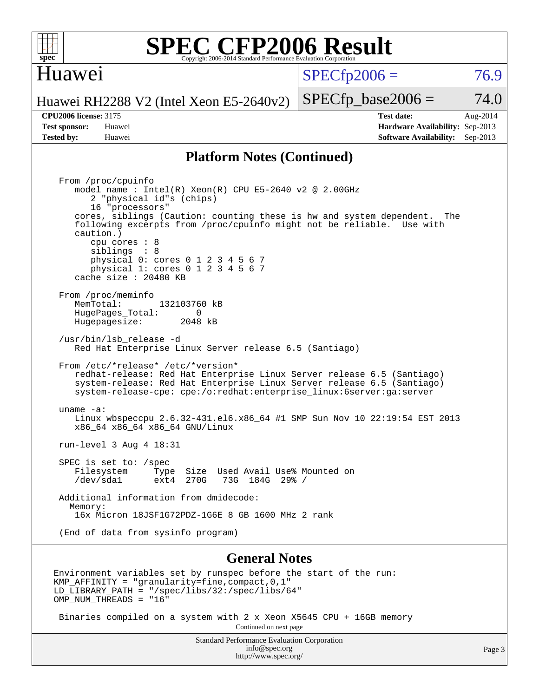

#### Huawei

 $SPECTp2006 = 76.9$ 

Huawei RH2288 V2 (Intel Xeon E5-2640v2)

**[Tested by:](http://www.spec.org/auto/cpu2006/Docs/result-fields.html#Testedby)** Huawei **[Software Availability:](http://www.spec.org/auto/cpu2006/Docs/result-fields.html#SoftwareAvailability)** Sep-2013

**[CPU2006 license:](http://www.spec.org/auto/cpu2006/Docs/result-fields.html#CPU2006license)** 3175 **[Test date:](http://www.spec.org/auto/cpu2006/Docs/result-fields.html#Testdate)** Aug-2014 **[Test sponsor:](http://www.spec.org/auto/cpu2006/Docs/result-fields.html#Testsponsor)** Huawei **[Hardware Availability:](http://www.spec.org/auto/cpu2006/Docs/result-fields.html#HardwareAvailability)** Sep-2013

 $SPECTp\_base2006 = 74.0$ 

#### **[Platform Notes \(Continued\)](http://www.spec.org/auto/cpu2006/Docs/result-fields.html#PlatformNotes)**

 From /proc/cpuinfo model name : Intel(R) Xeon(R) CPU E5-2640 v2 @ 2.00GHz 2 "physical id"s (chips) 16 "processors" cores, siblings (Caution: counting these is hw and system dependent. The following excerpts from /proc/cpuinfo might not be reliable. Use with caution.) cpu cores : 8 siblings : 8 physical 0: cores 0 1 2 3 4 5 6 7 physical 1: cores 0 1 2 3 4 5 6 7 cache size : 20480 KB From /proc/meminfo MemTotal: 132103760 kB<br>HugePages Total: 0 HugePages\_Total: 0 Hugepagesize: 2048 kB /usr/bin/lsb\_release -d Red Hat Enterprise Linux Server release 6.5 (Santiago) From /etc/\*release\* /etc/\*version\* redhat-release: Red Hat Enterprise Linux Server release 6.5 (Santiago) system-release: Red Hat Enterprise Linux Server release 6.5 (Santiago) system-release-cpe: cpe:/o:redhat:enterprise\_linux:6server:ga:server uname -a: Linux wbspeccpu 2.6.32-431.el6.x86\_64 #1 SMP Sun Nov 10 22:19:54 EST 2013 x86\_64 x86\_64 x86\_64 GNU/Linux run-level 3 Aug 4 18:31 SPEC is set to: /spec<br>Filesystem Type Type Size Used Avail Use% Mounted on /dev/sda1 ext4 270G 73G 184G 29% / Additional information from dmidecode: Memory: 16x Micron 18JSF1G72PDZ-1G6E 8 GB 1600 MHz 2 rank (End of data from sysinfo program)

#### **[General Notes](http://www.spec.org/auto/cpu2006/Docs/result-fields.html#GeneralNotes)**

Environment variables set by runspec before the start of the run: KMP\_AFFINITY = "granularity=fine,compact,0,1" LD\_LIBRARY\_PATH = "/spec/libs/32:/spec/libs/64" OMP NUM THREADS = "16"

 Binaries compiled on a system with 2 x Xeon X5645 CPU + 16GB memory Continued on next page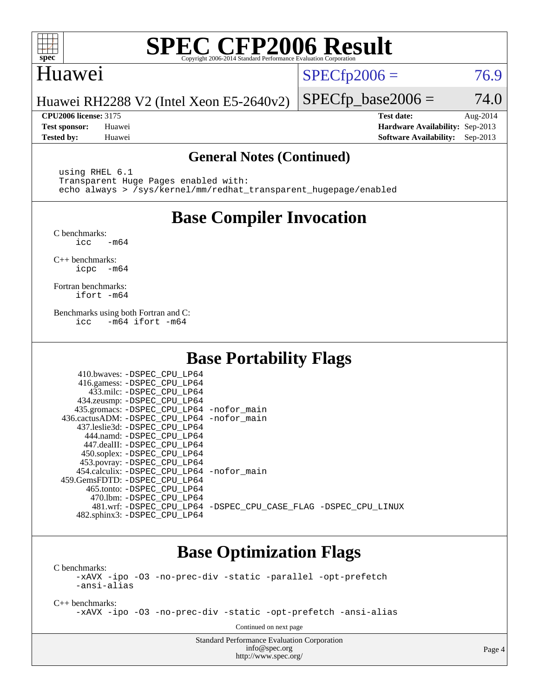

## Huawei

 $SPECTp2006 = 76.9$ 

Huawei RH2288 V2 (Intel Xeon E5-2640v2)

**[CPU2006 license:](http://www.spec.org/auto/cpu2006/Docs/result-fields.html#CPU2006license)** 3175 **[Test date:](http://www.spec.org/auto/cpu2006/Docs/result-fields.html#Testdate)** Aug-2014 **[Test sponsor:](http://www.spec.org/auto/cpu2006/Docs/result-fields.html#Testsponsor)** Huawei **[Hardware Availability:](http://www.spec.org/auto/cpu2006/Docs/result-fields.html#HardwareAvailability)** Sep-2013 **[Tested by:](http://www.spec.org/auto/cpu2006/Docs/result-fields.html#Testedby)** Huawei **[Software Availability:](http://www.spec.org/auto/cpu2006/Docs/result-fields.html#SoftwareAvailability)** Sep-2013

 $SPECfp\_base2006 = 74.0$ 

#### **[General Notes \(Continued\)](http://www.spec.org/auto/cpu2006/Docs/result-fields.html#GeneralNotes)**

 using RHEL 6.1 Transparent Huge Pages enabled with: echo always > /sys/kernel/mm/redhat\_transparent\_hugepage/enabled

## **[Base Compiler Invocation](http://www.spec.org/auto/cpu2006/Docs/result-fields.html#BaseCompilerInvocation)**

[C benchmarks](http://www.spec.org/auto/cpu2006/Docs/result-fields.html#Cbenchmarks):  $\text{icc}$   $-\text{m64}$ 

[C++ benchmarks:](http://www.spec.org/auto/cpu2006/Docs/result-fields.html#CXXbenchmarks) [icpc -m64](http://www.spec.org/cpu2006/results/res2014q3/cpu2006-20140811-30871.flags.html#user_CXXbase_intel_icpc_64bit_bedb90c1146cab66620883ef4f41a67e)

[Fortran benchmarks](http://www.spec.org/auto/cpu2006/Docs/result-fields.html#Fortranbenchmarks): [ifort -m64](http://www.spec.org/cpu2006/results/res2014q3/cpu2006-20140811-30871.flags.html#user_FCbase_intel_ifort_64bit_ee9d0fb25645d0210d97eb0527dcc06e)

[Benchmarks using both Fortran and C](http://www.spec.org/auto/cpu2006/Docs/result-fields.html#BenchmarksusingbothFortranandC): [icc -m64](http://www.spec.org/cpu2006/results/res2014q3/cpu2006-20140811-30871.flags.html#user_CC_FCbase_intel_icc_64bit_0b7121f5ab7cfabee23d88897260401c) [ifort -m64](http://www.spec.org/cpu2006/results/res2014q3/cpu2006-20140811-30871.flags.html#user_CC_FCbase_intel_ifort_64bit_ee9d0fb25645d0210d97eb0527dcc06e)

## **[Base Portability Flags](http://www.spec.org/auto/cpu2006/Docs/result-fields.html#BasePortabilityFlags)**

| 410.bwaves: -DSPEC CPU LP64<br>416.gamess: -DSPEC_CPU_LP64<br>433.milc: -DSPEC CPU LP64<br>434.zeusmp: -DSPEC_CPU_LP64<br>435.gromacs: -DSPEC_CPU_LP64 -nofor_main<br>436.cactusADM: -DSPEC_CPU_LP64 -nofor_main<br>437.leslie3d: -DSPEC_CPU LP64<br>444.namd: -DSPEC CPU LP64 |                                                                |
|--------------------------------------------------------------------------------------------------------------------------------------------------------------------------------------------------------------------------------------------------------------------------------|----------------------------------------------------------------|
| 447.dealII: -DSPEC_CPU LP64<br>450.soplex: -DSPEC_CPU_LP64                                                                                                                                                                                                                     |                                                                |
| 453.povray: -DSPEC_CPU_LP64<br>454.calculix: - DSPEC CPU LP64 - nofor main<br>459.GemsFDTD: -DSPEC_CPU LP64<br>465.tonto: -DSPEC CPU LP64                                                                                                                                      |                                                                |
| 470.1bm: - DSPEC CPU LP64<br>482.sphinx3: -DSPEC_CPU_LP64                                                                                                                                                                                                                      | 481.wrf: -DSPEC_CPU_LP64 -DSPEC_CPU_CASE_FLAG -DSPEC_CPU_LINUX |

## **[Base Optimization Flags](http://www.spec.org/auto/cpu2006/Docs/result-fields.html#BaseOptimizationFlags)**

[C benchmarks](http://www.spec.org/auto/cpu2006/Docs/result-fields.html#Cbenchmarks):

[-xAVX](http://www.spec.org/cpu2006/results/res2014q3/cpu2006-20140811-30871.flags.html#user_CCbase_f-xAVX) [-ipo](http://www.spec.org/cpu2006/results/res2014q3/cpu2006-20140811-30871.flags.html#user_CCbase_f-ipo) [-O3](http://www.spec.org/cpu2006/results/res2014q3/cpu2006-20140811-30871.flags.html#user_CCbase_f-O3) [-no-prec-div](http://www.spec.org/cpu2006/results/res2014q3/cpu2006-20140811-30871.flags.html#user_CCbase_f-no-prec-div) [-static](http://www.spec.org/cpu2006/results/res2014q3/cpu2006-20140811-30871.flags.html#user_CCbase_f-static) [-parallel](http://www.spec.org/cpu2006/results/res2014q3/cpu2006-20140811-30871.flags.html#user_CCbase_f-parallel) [-opt-prefetch](http://www.spec.org/cpu2006/results/res2014q3/cpu2006-20140811-30871.flags.html#user_CCbase_f-opt-prefetch) [-ansi-alias](http://www.spec.org/cpu2006/results/res2014q3/cpu2006-20140811-30871.flags.html#user_CCbase_f-ansi-alias)

[C++ benchmarks:](http://www.spec.org/auto/cpu2006/Docs/result-fields.html#CXXbenchmarks)

[-xAVX](http://www.spec.org/cpu2006/results/res2014q3/cpu2006-20140811-30871.flags.html#user_CXXbase_f-xAVX) [-ipo](http://www.spec.org/cpu2006/results/res2014q3/cpu2006-20140811-30871.flags.html#user_CXXbase_f-ipo) [-O3](http://www.spec.org/cpu2006/results/res2014q3/cpu2006-20140811-30871.flags.html#user_CXXbase_f-O3) [-no-prec-div](http://www.spec.org/cpu2006/results/res2014q3/cpu2006-20140811-30871.flags.html#user_CXXbase_f-no-prec-div) [-static](http://www.spec.org/cpu2006/results/res2014q3/cpu2006-20140811-30871.flags.html#user_CXXbase_f-static) [-opt-prefetch](http://www.spec.org/cpu2006/results/res2014q3/cpu2006-20140811-30871.flags.html#user_CXXbase_f-opt-prefetch) [-ansi-alias](http://www.spec.org/cpu2006/results/res2014q3/cpu2006-20140811-30871.flags.html#user_CXXbase_f-ansi-alias)

Continued on next page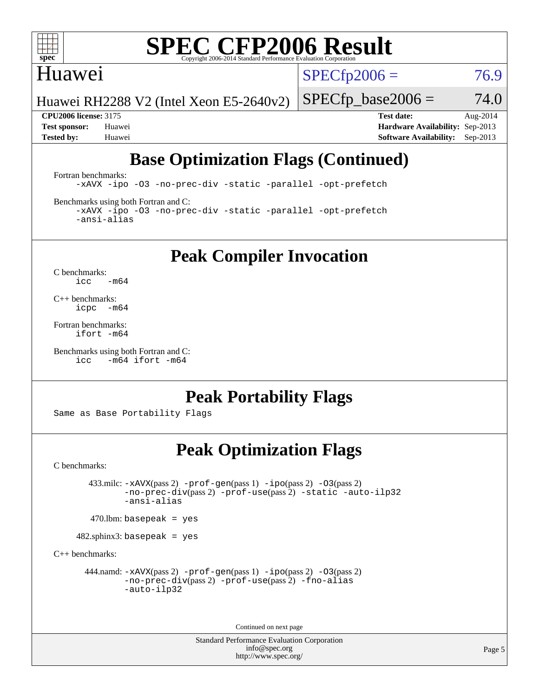

#### Huawei

 $SPECTp2006 = 76.9$ 

Huawei RH2288 V2 (Intel Xeon E5-2640v2)

 $SPECfp\_base2006 = 74.0$ **[CPU2006 license:](http://www.spec.org/auto/cpu2006/Docs/result-fields.html#CPU2006license)** 3175 **[Test date:](http://www.spec.org/auto/cpu2006/Docs/result-fields.html#Testdate)** Aug-2014

**[Test sponsor:](http://www.spec.org/auto/cpu2006/Docs/result-fields.html#Testsponsor)** Huawei **[Hardware Availability:](http://www.spec.org/auto/cpu2006/Docs/result-fields.html#HardwareAvailability)** Sep-2013 **[Tested by:](http://www.spec.org/auto/cpu2006/Docs/result-fields.html#Testedby)** Huawei **[Software Availability:](http://www.spec.org/auto/cpu2006/Docs/result-fields.html#SoftwareAvailability)** Sep-2013

## **[Base Optimization Flags \(Continued\)](http://www.spec.org/auto/cpu2006/Docs/result-fields.html#BaseOptimizationFlags)**

[Fortran benchmarks](http://www.spec.org/auto/cpu2006/Docs/result-fields.html#Fortranbenchmarks):

[-xAVX](http://www.spec.org/cpu2006/results/res2014q3/cpu2006-20140811-30871.flags.html#user_FCbase_f-xAVX) [-ipo](http://www.spec.org/cpu2006/results/res2014q3/cpu2006-20140811-30871.flags.html#user_FCbase_f-ipo) [-O3](http://www.spec.org/cpu2006/results/res2014q3/cpu2006-20140811-30871.flags.html#user_FCbase_f-O3) [-no-prec-div](http://www.spec.org/cpu2006/results/res2014q3/cpu2006-20140811-30871.flags.html#user_FCbase_f-no-prec-div) [-static](http://www.spec.org/cpu2006/results/res2014q3/cpu2006-20140811-30871.flags.html#user_FCbase_f-static) [-parallel](http://www.spec.org/cpu2006/results/res2014q3/cpu2006-20140811-30871.flags.html#user_FCbase_f-parallel) [-opt-prefetch](http://www.spec.org/cpu2006/results/res2014q3/cpu2006-20140811-30871.flags.html#user_FCbase_f-opt-prefetch)

[Benchmarks using both Fortran and C](http://www.spec.org/auto/cpu2006/Docs/result-fields.html#BenchmarksusingbothFortranandC):

[-xAVX](http://www.spec.org/cpu2006/results/res2014q3/cpu2006-20140811-30871.flags.html#user_CC_FCbase_f-xAVX) [-ipo](http://www.spec.org/cpu2006/results/res2014q3/cpu2006-20140811-30871.flags.html#user_CC_FCbase_f-ipo) [-O3](http://www.spec.org/cpu2006/results/res2014q3/cpu2006-20140811-30871.flags.html#user_CC_FCbase_f-O3) [-no-prec-div](http://www.spec.org/cpu2006/results/res2014q3/cpu2006-20140811-30871.flags.html#user_CC_FCbase_f-no-prec-div) [-static](http://www.spec.org/cpu2006/results/res2014q3/cpu2006-20140811-30871.flags.html#user_CC_FCbase_f-static) [-parallel](http://www.spec.org/cpu2006/results/res2014q3/cpu2006-20140811-30871.flags.html#user_CC_FCbase_f-parallel) [-opt-prefetch](http://www.spec.org/cpu2006/results/res2014q3/cpu2006-20140811-30871.flags.html#user_CC_FCbase_f-opt-prefetch) [-ansi-alias](http://www.spec.org/cpu2006/results/res2014q3/cpu2006-20140811-30871.flags.html#user_CC_FCbase_f-ansi-alias)

**[Peak Compiler Invocation](http://www.spec.org/auto/cpu2006/Docs/result-fields.html#PeakCompilerInvocation)**

[C benchmarks](http://www.spec.org/auto/cpu2006/Docs/result-fields.html#Cbenchmarks):  $\text{icc}$  -m64

[C++ benchmarks:](http://www.spec.org/auto/cpu2006/Docs/result-fields.html#CXXbenchmarks) [icpc -m64](http://www.spec.org/cpu2006/results/res2014q3/cpu2006-20140811-30871.flags.html#user_CXXpeak_intel_icpc_64bit_bedb90c1146cab66620883ef4f41a67e)

[Fortran benchmarks](http://www.spec.org/auto/cpu2006/Docs/result-fields.html#Fortranbenchmarks): [ifort -m64](http://www.spec.org/cpu2006/results/res2014q3/cpu2006-20140811-30871.flags.html#user_FCpeak_intel_ifort_64bit_ee9d0fb25645d0210d97eb0527dcc06e)

[Benchmarks using both Fortran and C](http://www.spec.org/auto/cpu2006/Docs/result-fields.html#BenchmarksusingbothFortranandC): [icc -m64](http://www.spec.org/cpu2006/results/res2014q3/cpu2006-20140811-30871.flags.html#user_CC_FCpeak_intel_icc_64bit_0b7121f5ab7cfabee23d88897260401c) [ifort -m64](http://www.spec.org/cpu2006/results/res2014q3/cpu2006-20140811-30871.flags.html#user_CC_FCpeak_intel_ifort_64bit_ee9d0fb25645d0210d97eb0527dcc06e)

## **[Peak Portability Flags](http://www.spec.org/auto/cpu2006/Docs/result-fields.html#PeakPortabilityFlags)**

Same as Base Portability Flags

## **[Peak Optimization Flags](http://www.spec.org/auto/cpu2006/Docs/result-fields.html#PeakOptimizationFlags)**

[C benchmarks](http://www.spec.org/auto/cpu2006/Docs/result-fields.html#Cbenchmarks):

 433.milc: [-xAVX](http://www.spec.org/cpu2006/results/res2014q3/cpu2006-20140811-30871.flags.html#user_peakPASS2_CFLAGSPASS2_LDFLAGS433_milc_f-xAVX)(pass 2) [-prof-gen](http://www.spec.org/cpu2006/results/res2014q3/cpu2006-20140811-30871.flags.html#user_peakPASS1_CFLAGSPASS1_LDFLAGS433_milc_prof_gen_e43856698f6ca7b7e442dfd80e94a8fc)(pass 1) [-ipo](http://www.spec.org/cpu2006/results/res2014q3/cpu2006-20140811-30871.flags.html#user_peakPASS2_CFLAGSPASS2_LDFLAGS433_milc_f-ipo)(pass 2) [-O3](http://www.spec.org/cpu2006/results/res2014q3/cpu2006-20140811-30871.flags.html#user_peakPASS2_CFLAGSPASS2_LDFLAGS433_milc_f-O3)(pass 2) [-no-prec-div](http://www.spec.org/cpu2006/results/res2014q3/cpu2006-20140811-30871.flags.html#user_peakPASS2_CFLAGSPASS2_LDFLAGS433_milc_f-no-prec-div)(pass 2) [-prof-use](http://www.spec.org/cpu2006/results/res2014q3/cpu2006-20140811-30871.flags.html#user_peakPASS2_CFLAGSPASS2_LDFLAGS433_milc_prof_use_bccf7792157ff70d64e32fe3e1250b55)(pass 2) [-static](http://www.spec.org/cpu2006/results/res2014q3/cpu2006-20140811-30871.flags.html#user_peakOPTIMIZE433_milc_f-static) [-auto-ilp32](http://www.spec.org/cpu2006/results/res2014q3/cpu2006-20140811-30871.flags.html#user_peakCOPTIMIZE433_milc_f-auto-ilp32) [-ansi-alias](http://www.spec.org/cpu2006/results/res2014q3/cpu2006-20140811-30871.flags.html#user_peakCOPTIMIZE433_milc_f-ansi-alias)

 $470$ .lbm: basepeak = yes

482.sphinx3: basepeak = yes

[C++ benchmarks:](http://www.spec.org/auto/cpu2006/Docs/result-fields.html#CXXbenchmarks)

444.namd:  $-x$ AVX(pass 2)  $-p$ rof-gen(pass 1)  $-p$ po(pass 2)  $-03$ (pass 2) [-no-prec-div](http://www.spec.org/cpu2006/results/res2014q3/cpu2006-20140811-30871.flags.html#user_peakPASS2_CXXFLAGSPASS2_LDFLAGS444_namd_f-no-prec-div)(pass 2) [-prof-use](http://www.spec.org/cpu2006/results/res2014q3/cpu2006-20140811-30871.flags.html#user_peakPASS2_CXXFLAGSPASS2_LDFLAGS444_namd_prof_use_bccf7792157ff70d64e32fe3e1250b55)(pass 2) [-fno-alias](http://www.spec.org/cpu2006/results/res2014q3/cpu2006-20140811-30871.flags.html#user_peakCXXOPTIMIZEOPTIMIZE444_namd_f-no-alias_694e77f6c5a51e658e82ccff53a9e63a) [-auto-ilp32](http://www.spec.org/cpu2006/results/res2014q3/cpu2006-20140811-30871.flags.html#user_peakCXXOPTIMIZE444_namd_f-auto-ilp32)

Continued on next page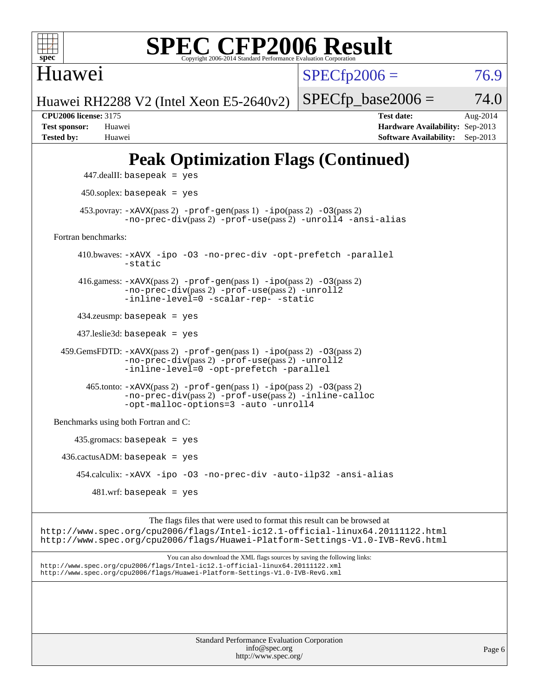

Huawei

 $SPECfp2006 = 76.9$  $SPECfp2006 = 76.9$ 

Huawei RH2288 V2 (Intel Xeon E5-2640v2)

**[CPU2006 license:](http://www.spec.org/auto/cpu2006/Docs/result-fields.html#CPU2006license)** 3175 **[Test date:](http://www.spec.org/auto/cpu2006/Docs/result-fields.html#Testdate)** Aug-2014 **[Test sponsor:](http://www.spec.org/auto/cpu2006/Docs/result-fields.html#Testsponsor)** Huawei **[Hardware Availability:](http://www.spec.org/auto/cpu2006/Docs/result-fields.html#HardwareAvailability)** Sep-2013 **[Tested by:](http://www.spec.org/auto/cpu2006/Docs/result-fields.html#Testedby)** Huawei **[Software Availability:](http://www.spec.org/auto/cpu2006/Docs/result-fields.html#SoftwareAvailability)** Sep-2013

 $SPECTp\_base2006 = 74.0$ 

## **[Peak Optimization Flags \(Continued\)](http://www.spec.org/auto/cpu2006/Docs/result-fields.html#PeakOptimizationFlags)**

```
 447.dealII: basepeak = yes
          450.soplex: basepeak = yes
        453.povray: -xAVX(pass 2) -prof-gen(pass 1) -ipo(pass 2) -03(pass 2)
                  -no-prec-div(pass 2) -prof-use(pass 2) -unroll4 -ansi-alias
   Fortran benchmarks: 
         410.bwaves: -xAVX -ipo -O3 -no-prec-div -opt-prefetch -parallel
                  -static
         416.gamess: -xAVX(pass 2) -prof-gen(pass 1) -ipo(pass 2) -O3(pass 2)
                  -no-prec-div(pass 2) -prof-use(pass 2) -unroll2
                  -inline-level=0 -scalar-rep- -static
         434.zeusmp: basepeak = yes
         437.leslie3d: basepeak = yes
     459.GemsFDTD: -xAVX(pass 2) -prof-gen(pass 1) -ipo(pass 2) -O3(pass 2)
                  -no-prec-div(pass 2) -prof-use(pass 2) -unroll2
                  -inline-level=0 -opt-prefetch -parallel
          465.tonto: -xAVX(pass 2) -prof-gen(pass 1) -po(pass 2) -03(pass 2)
                  -no-prec-div(pass 2) -prof-use(pass 2) -inline-calloc
                  -opt-malloc-options=3-auto-unroll4
   Benchmarks using both Fortran and C: 
        435.gromacs: basepeak = yes
    436.cactusADM: basepeak = yes 454.calculix: -xAVX -ipo -O3 -no-prec-div -auto-ilp32 -ansi-alias
           481 \text{.m}: basepeak = yes
                        The flags files that were used to format this result can be browsed at
http://www.spec.org/cpu2006/flags/Intel-ic12.1-official-linux64.20111122.html
http://www.spec.org/cpu2006/flags/Huawei-Platform-Settings-V1.0-IVB-RevG.html
```
You can also download the XML flags sources by saving the following links: <http://www.spec.org/cpu2006/flags/Intel-ic12.1-official-linux64.20111122.xml> <http://www.spec.org/cpu2006/flags/Huawei-Platform-Settings-V1.0-IVB-RevG.xml>